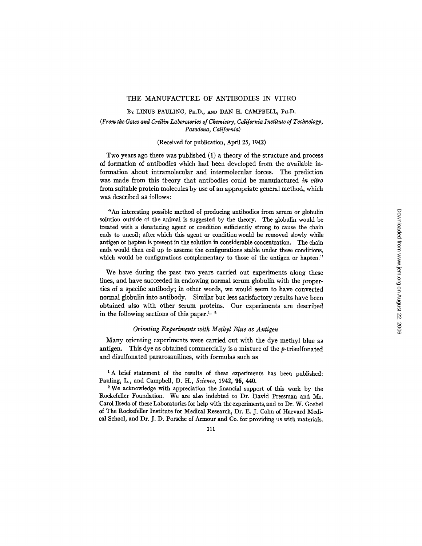### THE MANUFACTURE OF ANTIBODIES IN VITRO

### BY LINUS PAULING, PH.D., AND DAN H. CAMPBELL, PH.D.

## *(From the Gates and Crellin Laboratories of Chemistry, California Institute of Technology, Pasadena, California)*

### (Received for publication, April 25, 1942)

Two years ago there was published (1) a theory of the structure and process of formation of antibodies which had been developed from the available information about intramolecular and intermolecular forces. The prediction was made from this theory that antibodies could be manufactured *in vitro*  from suitable protein molecules by use of an appropriate general method, which was described as follows:-

"An interesting possible method of producing antibodies from serum or globulin solution outside of the animal is suggested by the theory. The globulin would be treated with a denaturing agent or condition sufficiently strong to cause the chain ends to uncoil; after which this agent or condition would be removed slowly while antigen or hapten is present in the solution in considerable concentration. The chain ends would then coil up to assume the configurations stable under these conditions, which would be configurations complementary to those of the antigen or hapten."

We have during the past two years carried out experiments along these lines, and have succeeded in endowing normal serum globulin with the properties of a specific antibody; in other words, we would seem to have converted normal globulin into antibody. Similar but less satisfactory results have been obtained also with other serum proteins. Our experiments are described in the following sections of this paper.<sup>1,  $\frac{2}{3}$ </sup>

# *Orienting Experiments with Methyl Blue as Antigen*

Many orienting experiments were carried out with the dye methyl blue as antigen. This dye as obtained commercially is a mixture of the  $p$ -trisulfonated and disulfonated pararosanilines, with formulas such as

<sup>1</sup>A brief statement of the results of these experiments has been published: Pauling, L., and Campbell, D. H., *Science,* 1942, 95, 440.

2 We acknowledge with appreciation the financial support of this work by the Rockefeller Foundation. We are also indebted to Dr. David Pressman and Mr. Carol Ikeda of these Laboratories for help with the experiments, and to Dr. W. Goebel of The Rockefeller Institute for Medical Research, Dr. E. J. Cohn of Harvard Medical School, and Dr. J. D. Porsche of Armour and Co. for providing us with materials.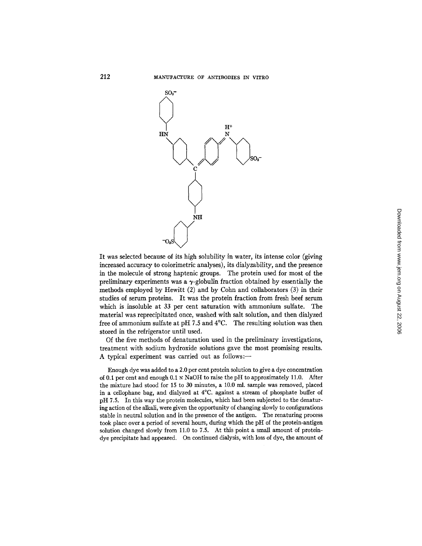

It was selected because of its high solubility in water, its intense color (giving increased accuracy to colorimetric analyses), its dialyzability, and the presence in the molecule of strong haptenic groups. The protein used for most of the preliminary experiments was a  $\gamma$ -globulin fraction obtained by essentially the methods employed by Hewitt (2) and by Cohn and collaborators (3) in their studies of serum proteins. It was the protein fraction from fresh beef serum which is insoluble at 33 per cent saturation with ammonium sulfate. The material was reprecipitated once, washed with salt solution, and then dialyzed free of ammonium sulfate at pH 7.5 and 4°C. The resulting solution was then stored in the refrigerator until used.

Of the five methods of denaturation used in the preliminary investigations, treatment with sodium hydroxide solutions gave the most promising results. A typical experiment was carried out as follows:-

Enough dye was added to a 2.0 per cent protein solution to give a dye concentration of 0.1 per cent and enough  $0.1 \times$  NaOH to raise the pH to approximately 11.0. After the mixture had stood for 15 to 30 minutes, a 10.0 m]. sample was removed, placed in a cellophane bag, and dialyzed at 4°C. against a stream of phosphate buffer of pH 7.5. In this way the protein molecules, which had been subjected to the denaturing action of the alkali, were given the opportunity of changing slowly to configurations stable in neutral solution and in the presence of the antigen. The renaturing process took place over a period of several hours, during which the pH of the protein-antigen solution changed slowly from 11.0 to 7.5. At this point a small amount of proteindye precipitate had appeared. On continued dialysis, with loss of dye, the amount of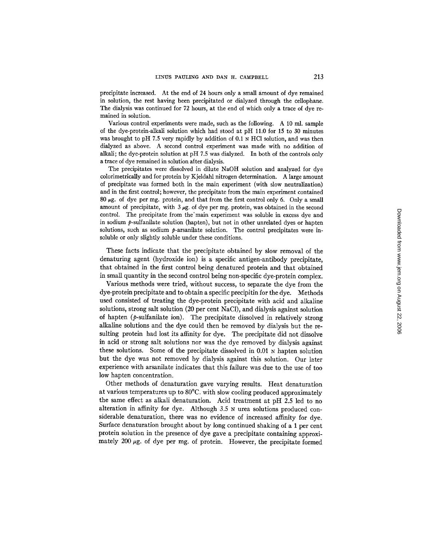precipitate increased. At the end of 24 hours only a small amount of dye remained in solution, the rest having been precipitated or dialyzed through the cellophane. The dialysis was continued for 72 hours, at the end of which only a trace of dye remained in solution.

Various control experiments were made, such as the following. A 10 ml. sample of the dye-protein-alkali solution which had stood at pH 11.0 for 15 to 30 minutes was brought to pH 7.5 very rapidly by addition of 0.1 N HCl solution, and was then dialyzed as above. A second control experiment was made with no addition of alkali; the dye-protein solution at pH 7.5 was dialyzed. In both of the controls only a trace of dye remained in solution after dialysis.

The precipitates were dissolved in dilute NaOH solution and analyzed for dye colorimetrically and for protein by Kjeldahl nitrogen determination. A large amount of precipitate was formed both in the main experiment (with slow neutralization) and in the first control; however, the precipitate from the main experiment contained 80  $\mu$ g. of dye per mg. protein, and that from the first control only 6. Only a small amount of precipitate, with  $3 \mu$ g. of dye per mg. protein, was obtained in the second control. The precipitate from the'main experiment was soluble in excess dye and in sodium  $p$ -sulfanilate solution (hapten), but not in other unrelated dyes or hapten solutions, such as sodium  $p$ -arsanilate solution. The control precipitates were insoluble or only slightly soluble under these conditions.

These facts indicate that the precipitate obtained by slow removal of the denaturing agent (hydroxide ion) is a specific antigen-antibody precipitate, that obtained in the first control being denatured protein and that obtained in small quantity in the second control being non-specific dye-protein complex.

Various methods were tried, without success, to separate the dye from the dye-protein precipitate and to obtain a specific precipitin for the dye. Methods used consisted of treating the dye-protein precipitate with acid and alkaline solutions, strong salt solution (20 per cent NaC1), and dialysis against solution of hapten  $(p$ -sulfanilate ion). The precipitate dissolved in relatively strong alkaline solutions and the dye could then be removed by dialysis but the resulting protein had lost its affinity for dye. The precipitate did not dissolve in acid or strong salt solutions nor was the dye removed by dialysis against these solutions. Some of the precipitate dissolved in  $0.01$  N hapten solution but the dye was not removed by dialysis against this solution. Our later experience with arsanilate indicates that this failure was due to the use of too low hapten concentration.

Other methods of denaturation gave varying results. Heat denaturation at various temperatures up to 80°C. with slow cooling produced approximately the same effect as alkali denaturation. Acid treatment at pH 2.5 led to no alteration in affinity for dye. Although 3.5 N urea solutions produced considerable denaturation, there was no evidence of increased affinity for dye. Surface denaturation brought about by long continued shaking of a 1 per cent protein solution in the presence of dye gave a precipitate containing approximately 200  $\mu$ g. of dye per mg. of protein. However, the precipitate formed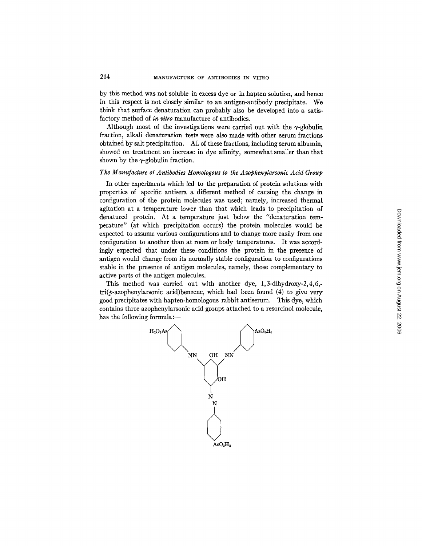by this method was not soluble in excess dye or in hapten solution, and hence in this respect is not closely similar to an antigen-antibody precipitate. We think that surface denaturation can probably also be developed into a satisfactory method of *in vitro* manufacture of antibodies.

Although most of the investigations were carried out with the  $\gamma$ -globulin fraction, alkali denaturation tests were also made with other serum fractions obtained by salt precipitation. All of these fractions, including serum albumin, showed on treatment an increase in dye affinity, somewhat smaller than that shown by the  $\gamma$ -globulin fraction.

## *The Manufacture of Antibodies Homologous to the Azophenylarsonic Acid Group*

In other experiments which led to the preparation of protein solutions with properties of specific antisera a different method of causing the change in configuration of the protein molecules was used; namely, increased thermal agitation at a temperature lower than that which leads to precipitation of denatured protein. At a temperature just below the "denaturation temperature" (at which precipitation occurs) the protein molecules would be expected to assume various configurations and to change more easily from one configuration to another than at room or body temperatures. It was accordingly expected that under these conditions the protein in the presence of antigen would change from its normally stable configuration to configurations stable in the presence of antigen molecules, namely, those complementary to active parts of the antigen molecules.

This method was carried out with another dye, 1, 3-dihydroxy-2, 4, 6,  $tri(\phi$ -azophenylarsonic acid)benzene, which had been found (4) to give very good precipitates with hapten-homologous rabbit antiserum. This dye, which contains three azophenylarsonic acid groups attached to a resorcinol molecule, has the following formula:-

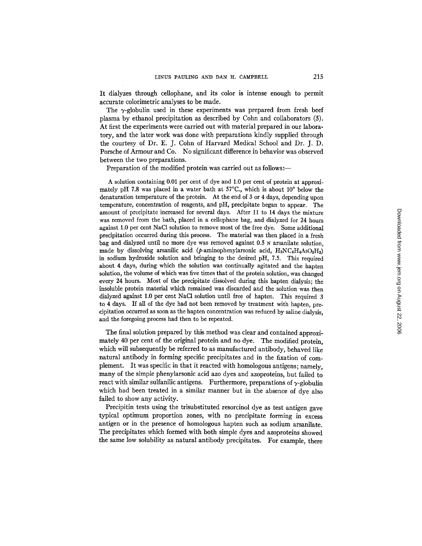It dialyzes through cellophane, and its color is intense enough to permit accurate colorimetric analyses to be made.

The  $\gamma$ -globulin used in these experiments was prepared from fresh beef plasma by ethanol precipitation as described by Cohn and collaborators (5). At first the experiments were carried out with material prepared in our laboratory, and the later work was done with preparations kindly supplied through the courtesy of Dr. E. J. Cohn of Harvard Medical School and Dr. J. D. Porsche of Armour and Co. No significant difference in behavior was observed between the two preparations.

Preparation of the modified protein was carried out as follows:—

A solution containing 0.01 per cent of dye and 1.0 per cent of protein at approximately pH 7.8 was placed in a water bath at  $57^{\circ}$ C., which is about 10 $^{\circ}$  below the denaturation temperature of the protein. At the end of 3 or 4 days, depending upon temperature, concentration of reagents, and pH, precipitate began to appear. The amount of precipitate increased for several days. After 11 to 14 days the mixture was removed from the bath, placed in a cellophane bag, and dialyzed for 24 hours against 1.0 per cent NaC1 solution to remove most of the free dye. Some additional precipitation occurred during this process. The material was then placed in a fresh bag and dialyzed until no more dye was removed against 0.5 N arsanilate solution, made by dissolving arsanilic acid (p-aminophenylarsonic acid,  $H_2NC_6H_4AsO_3H_2$ ) in sodium hydroxide solution and bringing to the desired pH, 7.5. This required about 4 days, during which the solution was continually agitated and the hapten solution, the volume of which was five times that of the protein solution, was changed every 24 hours. Most of the precipitate dissolved during this hapten dialysis; the insoluble protein material which remained was discarded and the solution was then dialyzed against 1.0 per cent NaC1 solution until free of hapten. This required 3 to 4 days. If all of the dye had not been removed by treatment with hapten, precipitation occurred as soon as the hapten concentration was reduced by saline dialysis, and the foregoing process had then to be repeated.

The final solution prepared by this method was clear and contained approximately 40 per cent of the original protein and no dye. The modified protein, which will subsequently be referred to as manufactured antibody, behaved like natural antibody in forming specific precipitates and in the fixation of complement. It was specific in that it reacted with homologous antigens; namely, many of the simple phenylarsonic acid azo dyes and azoproteins, but failed to react with similar sulfanilic antigens. Furthermore, preparations of  $\gamma$ -globulin which had been treated in a similar manner but in the absence of dye also failed to show any activity.

Precipitin tests using the trisubstituted resorcinol dye as test antigen gave typical optimum proportion zones, with no precipitate forming in excess antigen or in the presence of homologous hapten such as sodium arsanilate. The precipitates which formed with both simple dyes and azoproteins showed the same low solubility as natural antibody precipitates. For example, there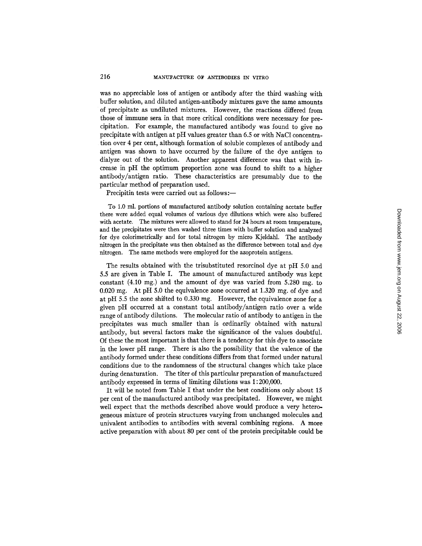was no appreciable loss of antigen or antibody after the third washing with buffer solution, and diluted antigen-antibody mixtures gave the same amounts of precipitate as undiluted mixtures. However, the reactions differed from those of immune sera in that more critical conditions were necessary for precipitation. For example, the manufactured antibody was found to give no precipitate with antigen at pH values greater than 6.5 or with NaC1 concentration over 4 per cent, although formation of soluble complexes of antibody and antigen was shown to have occurred by the failute of the dye antigen to dialyze out of the solution. Another apparent difference was that with increase in pH the optimum proportion zone was found to shift to a higher antibody/antigen ratio. These characteristics are presumably due to the particular method of preparation used.

Precipitin tests were carried out as follows:-

To 1.0 ml. portions of manufactured antibody solution containing acetate buffer there were added equal volumes of various dye dilutions which were also buffered with acetate. The mixtures were allowed to stand for 24 hours at room temperature, and the precipitates were then washed three times with buffer solution and analyzed for dye colorimetrically and for total nitrogen by micro Kjeldahl. The antibody nitrogen in the precipitate was then obtained as the difference between total and dye nitrogen. The same methods were employed for the azoprotein antigens.

The results obtained with the trisubstituted resorcinol dye at pH 5.0 and 5.5 are given in Table I. The amount of manufactured antibody was kept constant (4.10 mg.) and the amount of dye was varied from 5.280 mg. to 0.020 mg. At pH 5.0 the equivalence zone occurred at 1.320 mg. of dye and at pH 5.5 the zone shifted to 0.330 mg. However, the equivalence zone for a given pH occurred at a constant total antibody/antigen ratio over a wide range of antibody dilutions. The molecular ratio of antibody to antigen in the precipitates was much smaller than is ordinarily obtained with natural antibody, but several factors make the significance of the values doubtful. Of these the most important is that there is a tendency for this dye to associate in the lower pH range. There is also the possibility that the valence of the antibody formed under these conditions differs from that formed under natural conditions due to the randomness of the structural changes which take place during denaturation. The titer of this particular preparation of manufactured antibody expressed in terms of limiting dilutions was 1 : 200,000.

It will be noted from Table I that under the best conditions only about 15 per cent of the manufactured antibody was precipitated. However, we might well expect that the methods described above would produce a very heterogeneous mixture of protein structures varying from unchanged molecules and univalent antibodies to antibodies with several combining regions. A more active preparation with about 80 per cent of the protein precipitable could be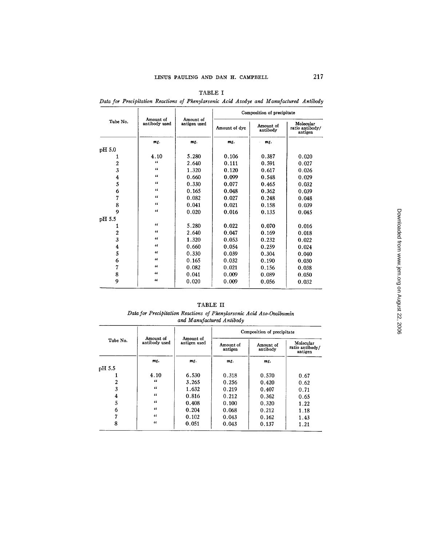| Tube No.         | Amount of<br>antibody used | Amount of<br>antigen used | Composition of precipitate |                       |                                         |  |
|------------------|----------------------------|---------------------------|----------------------------|-----------------------|-----------------------------------------|--|
|                  |                            |                           | Amount of dve              | Amount of<br>antibody | Molecular<br>ratio antibody/<br>antigen |  |
|                  | mg.                        | $mK$ .                    | $msz$ .                    | mg.                   |                                         |  |
| pH 5.0           |                            |                           |                            |                       |                                         |  |
| 1                | 4.10                       | 5.280                     | 0.106                      | 0.387                 | 0.020                                   |  |
| 2                | $\epsilon$                 | 2.640                     | 0.111                      | 0.591                 | 0.027                                   |  |
| $\overline{3}$   | $\epsilon$                 | 1.320                     | 0.120                      | 0.617                 | 0.026                                   |  |
| 4                | "                          | 0.660                     | 0.099                      | 0.548                 | 0.029                                   |  |
| 5                | "                          | 0.330                     | 0.077                      | 0.465                 | 0.032                                   |  |
| 6                | 46                         | 0.165                     | 0.048                      | 0.362                 | 0.039                                   |  |
| 7                | 46                         | 0.082                     | 0.027                      | 0.248                 | 0.048                                   |  |
| 8                | 46                         | 0.041                     | 0.021                      | 0.158                 | 0.039                                   |  |
| 9                | $\epsilon$                 | 0.020                     | 0.016                      | 0.135                 | 0.045                                   |  |
| pH 5.5           |                            |                           |                            |                       |                                         |  |
| 1                | $\epsilon$                 | 5.280                     | 0.022                      | 0.070                 | 0.016                                   |  |
| $\boldsymbol{2}$ | $\epsilon$                 | 2.640                     | 0.047                      | 0.169                 | 0.018                                   |  |
| 3                | $\epsilon$                 | 1.320                     | 0.053                      | 0.232                 | 0.022                                   |  |
| 4                | $\epsilon$                 | 0.660                     | 0.054                      | 0.259                 | 0.024                                   |  |
| 5                | "                          | 0.330                     | 0.039                      | 0.304                 | 0.040                                   |  |
| 6                | $\epsilon$                 | 0.165                     | 0.032                      | 0.190                 | 0.030                                   |  |
| 7                | $\epsilon$                 | 0.082                     | 0.021                      | 0.156                 | 0.038                                   |  |
| 8                | 66                         | 0.041                     | 0.009                      | 0.089                 | 0.050                                   |  |
| 9                | $\epsilon$                 | 0.020                     | 0.009                      | 0.056                 | 0.032                                   |  |

TABLE I

*Data for Precipitation Reactions of Phenylarsonic Acid Azodye and Manufactured Antibody* 

| TABLE II                                                             |  |  |  |  |  |  |  |
|----------------------------------------------------------------------|--|--|--|--|--|--|--|
| Data for Precipitation Reactions of Phenylarsonic Acid Azo-Ovalbumin |  |  |  |  |  |  |  |

*and Manufactured Antibody* 

| Tube No. | Amount of<br>antibody used | Amount of<br>antigen used | Composition of precipitate |                       |                                         |  |
|----------|----------------------------|---------------------------|----------------------------|-----------------------|-----------------------------------------|--|
|          |                            |                           | Amount of<br>antigen       | Amount of<br>antibody | Molecular<br>ratio antibody/<br>antigen |  |
|          | mg.                        | mg.                       | mg.                        | mg.                   |                                         |  |
| pH 5.5   |                            |                           |                            |                       |                                         |  |
|          | 4.10                       | 6.530                     | 0.318                      | 0.570                 | 0.67                                    |  |
| 2        | $\epsilon$                 | 3.265                     | 0.256                      | 0.420                 | 0.62                                    |  |
| 3        | $\alpha$                   | 1.632                     | 0.219                      | 0.407                 | 0.71                                    |  |
| 4        | $\epsilon$                 | 0.816                     | 0.212                      | 0.362                 | 0.65                                    |  |
| 5        | $\epsilon$                 | 0.408                     | 0.100                      | 0.320                 | 1.22                                    |  |
| 6        | $\epsilon$                 | 0.204                     | 0.068                      | 0.212                 | 1.18                                    |  |
| 7        | "                          | 0.102                     | 0.043                      | 0.162                 | 1.43                                    |  |
| 8        | $\epsilon$                 | 0.051                     | 0.043                      | 0.137                 | 1.21                                    |  |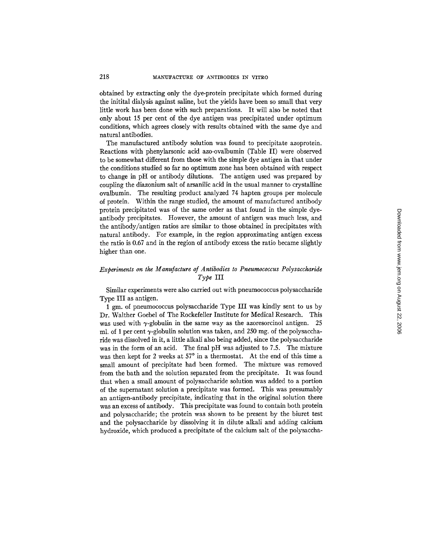obtained by extracting only the dye-protein precipitate which formed during the initital dialysis against saline, but the yields have been so small that very little work has been done with such preparations. It will also be noted that only about 15 per cent of the dye antigen was precipitated under optimum conditions, which agrees closely with results obtained with the same dye and natural antibodies.

The manufactured antibody solution was found to precipitate azoprotein. Reactions with phenylarsonic acid azo-ovalbumin (Table II) were observed to be somewhat different from those with the simple dye antigen in that under the conditions studied so far no optimum zone has been obtained with respect to change in pH or antibody dilutions. The antigen used was prepared by coupling the diazonium salt of arsanilic acid in the usual manner to crystalline ovalbumin. The resulting product analyzed 74 hapten groups per molecule of protein. Within the range studied, the amount of manufactured antibody protein precipitated was of the same order as that found in the simple dyeantibody precipitates. However, the amount of antigen was much less, and the antibody/antigen ratios are similar to those obtained in precipitates with natural antibody. For example, in the region approximating antigen excess the ratio is 0.67 and in the region of antibody excess the ratio became slightly higher than one.

# *Experiments on the Manufacture of Antibodies to Pneumococcus Polysaccharide Type* III

Similar experiments were also carried out with pneumococcus polysaccharide Type III as antigen.

1 gm. of pneumococcus polysaccharide Type III was kindly sent to us by Dr. Walther Goebel of The Rockefeller Institute for Medical Research. This was used with  $\gamma$ -globulin in the same way as the azoresorcinol antigen. 25 ml. of 1 per cent  $\gamma$ -globulin solution was taken, and 250 mg. of the polysaccharide was dissolved in it, a little alkali also being added, since the polysaccharide was in the form of an acid. The final pH was adjusted to 7.5. The mixture was then kept for 2 weeks at  $57^\circ$  in a thermostat. At the end of this time a small amount of precipitate had been formed. The mixture was removed from the bath and the solution separated from the precipitate. It was found that when a small amount of polysaccharide solution was added to a portion of the supernatant solution a precipitate was formed. This was presumably an antigen-antibody precipitate, indicating that in the original solution there was an excess of antibody. This precipitate was found to contain both protein and polysaccharide; the protein was shown to be present by the biuret test and the polysaccharide by dissolving it in dilute alkali and adding calcium hydroxide, which produced a precipitate of the calcium salt of the polysaccha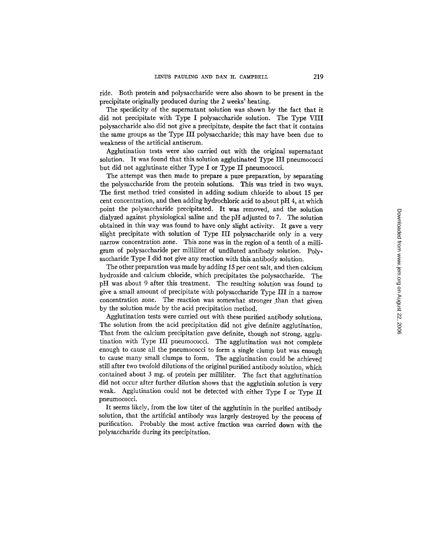ride. Both protein and polysaccharide were also shown to be present in the precipitate originally produced during the 2 weeks' heating.

The specificity of the supernatant solution was shown by the fact that it did not precipitate with Type I polysaccharide solution. The Type VIII polysaccharide also did not give a precipitate, despite the fact that it contains the same groups as the Type III polysaccharide; this may have been due to weakness of the artificial antiserum.

Agglutination tests were also carried out with the original supernatant solution. It was found that this solution agglutinated Type III pneumococci but did not agglutinate either Type  $I$  or Type II pneumococci.

The attempt was then made to prepare a pure preparation, by separating the polysaccharide from the protein solutions. This was tried in two ways. The first method tried consisted in adding sodium chloride to about 15 per cent concentration, and then adding hydrochloric acid to about pH 4, at which point the polysaccharide precipitated. It was removed, and the solution dialyzed against physiological saline and the pH adjusted to 7. The solution obtained in this way was found to have only slight activity. It gave a very slight precipitate with solution of Type III polysaccharide only in a very narrow concentration zone. This zone was in the region of a tenth of a milligram of polysaccharide per milliliter of undiluted antibody solution. Polysaccharide Type I did not give any reaction with this antibody solution.

The other preparation was made by adding 15 per cent salt, and then calcium hydroxide and calcium chloride, which precipitates the polysaccharide. The pH was about 9 after this treatment. The resulting solution was found to give a small amount of precipitate with polysaccharide Type III in a narrow concentration zone. The reaction was somewhat stronger than that given by the solution made by the acid precipitation method.

Agglutination tests were carried out with these purified antibody solutions. The solution from the acid precipitation did not give definite agglutination. That from the calcium precipitation gave definite, though not strong, agglutination with Type III pneumococci. The agglutination was not complete enough to cause all the pneumococci to form a single clump but was enough to cause many small clumps to form. The agglutination could be achieved still after two twofold dilutions of the original purified antibody solution, which contained about 3 mg. of protein per milliliter. The fact that agglutination did not occur after further dilution shows that the agglutinin solution is very weak. Agglutination could not be detected with either Type I or Type II pneumococci.

It seems likely, from the low titer of the agglutinin in the purified antibody solution, that the artificial antibody was largely destroyed by the process of purification. Probably the most active fraction was carried down with the polysaccharide during its precipitation.